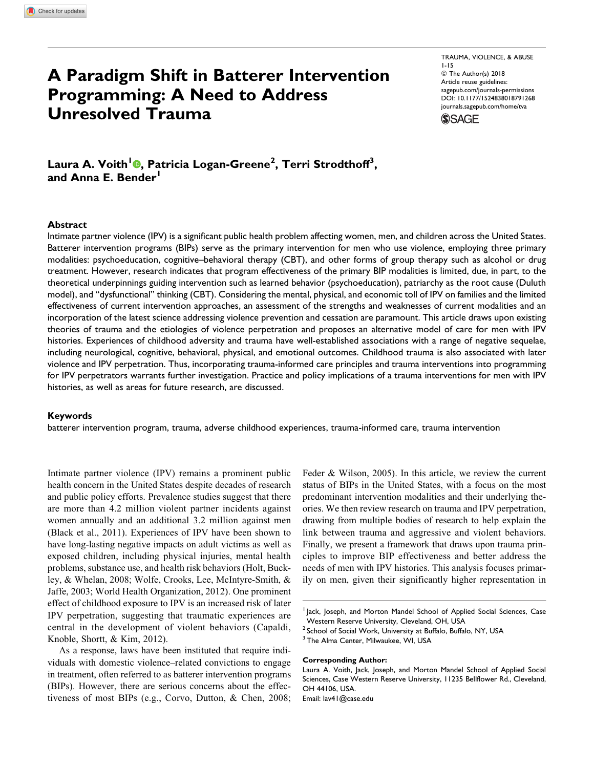# A Paradigm Shift in Batterer Intervention Programming: A Need to Address Unresolved Trauma

TRAUMA, VIOLENCE, & ABUSE 1-15 ª The Author(s) 2018 Article reuse guidelines: [sagepub.com/journals-permissions](https://sagepub.com/journals-permissions) [DOI: 10.1177/1524838018791268](https://doi.org/10.1177/1524838018791268) [journals.sagepub.com/home/tva](http://journals.sagepub.com/home/tva)



Laura A. Voith<sup>l</sup>®, Patricia Logan-Greene<sup>2</sup>, Terri Strodthoff<sup>3</sup>, and Anna E. Bender<sup>1</sup>

#### Abstract

Intimate partner violence (IPV) is a significant public health problem affecting women, men, and children across the United States. Batterer intervention programs (BIPs) serve as the primary intervention for men who use violence, employing three primary modalities: psychoeducation, cognitive–behavioral therapy (CBT), and other forms of group therapy such as alcohol or drug treatment. However, research indicates that program effectiveness of the primary BIP modalities is limited, due, in part, to the theoretical underpinnings guiding intervention such as learned behavior (psychoeducation), patriarchy as the root cause (Duluth model), and "dysfunctional" thinking (CBT). Considering the mental, physical, and economic toll of IPV on families and the limited effectiveness of current intervention approaches, an assessment of the strengths and weaknesses of current modalities and an incorporation of the latest science addressing violence prevention and cessation are paramount. This article draws upon existing theories of trauma and the etiologies of violence perpetration and proposes an alternative model of care for men with IPV histories. Experiences of childhood adversity and trauma have well-established associations with a range of negative sequelae, including neurological, cognitive, behavioral, physical, and emotional outcomes. Childhood trauma is also associated with later violence and IPV perpetration. Thus, incorporating trauma-informed care principles and trauma interventions into programming for IPV perpetrators warrants further investigation. Practice and policy implications of a trauma interventions for men with IPV histories, as well as areas for future research, are discussed.

#### Keywords

batterer intervention program, trauma, adverse childhood experiences, trauma-informed care, trauma intervention

Intimate partner violence (IPV) remains a prominent public health concern in the United States despite decades of research and public policy efforts. Prevalence studies suggest that there are more than 4.2 million violent partner incidents against women annually and an additional 3.2 million against men (Black et al., 2011). Experiences of IPV have been shown to have long-lasting negative impacts on adult victims as well as exposed children, including physical injuries, mental health problems, substance use, and health risk behaviors (Holt, Buckley, & Whelan, 2008; Wolfe, Crooks, Lee, McIntyre-Smith, & Jaffe, 2003; World Health Organization, 2012). One prominent effect of childhood exposure to IPV is an increased risk of later IPV perpetration, suggesting that traumatic experiences are central in the development of violent behaviors (Capaldi, Knoble, Shortt, & Kim, 2012).

As a response, laws have been instituted that require individuals with domestic violence–related convictions to engage in treatment, often referred to as batterer intervention programs (BIPs). However, there are serious concerns about the effectiveness of most BIPs (e.g., Corvo, Dutton, & Chen, 2008;

Feder & Wilson, 2005). In this article, we review the current status of BIPs in the United States, with a focus on the most predominant intervention modalities and their underlying theories. We then review research on trauma and IPV perpetration, drawing from multiple bodies of research to help explain the link between trauma and aggressive and violent behaviors. Finally, we present a framework that draws upon trauma principles to improve BIP effectiveness and better address the needs of men with IPV histories. This analysis focuses primarily on men, given their significantly higher representation in

#### Corresponding Author:

<sup>&</sup>lt;sup>1</sup> Jack, Joseph, and Morton Mandel School of Applied Social Sciences, Case Western Reserve University, Cleveland, OH, USA

<sup>&</sup>lt;sup>2</sup> School of Social Work, University at Buffalo, Buffalo, NY, USA

<sup>&</sup>lt;sup>3</sup> The Alma Center, Milwaukee, WI, USA

Laura A. Voith, Jack, Joseph, and Morton Mandel School of Applied Social Sciences, Case Western Reserve University, 11235 Bellflower Rd., Cleveland, OH 44106, USA. Email: [lav41@case.edu](mailto:lav41@case.edu)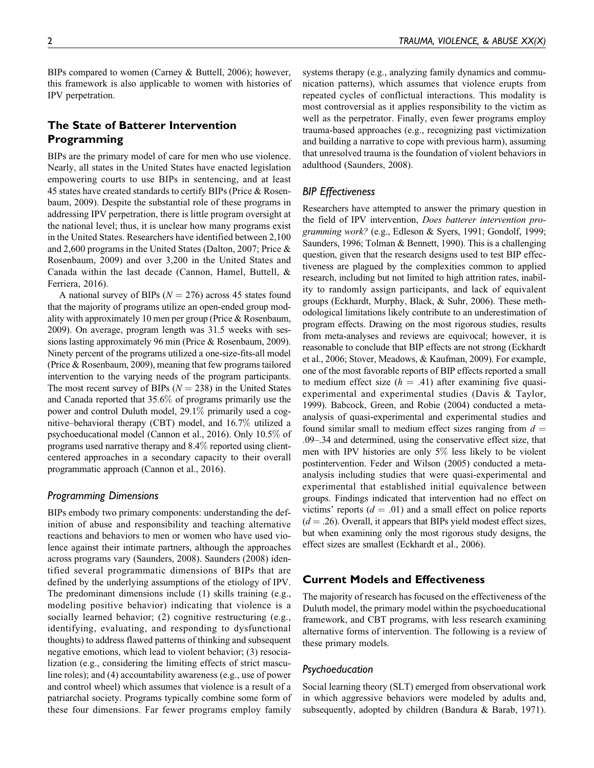BIPs compared to women (Carney & Buttell, 2006); however, this framework is also applicable to women with histories of IPV perpetration.

# The State of Batterer Intervention Programming

BIPs are the primary model of care for men who use violence. Nearly, all states in the United States have enacted legislation empowering courts to use BIPs in sentencing, and at least 45 states have created standards to certify BIPs (Price & Rosenbaum, 2009). Despite the substantial role of these programs in addressing IPV perpetration, there is little program oversight at the national level; thus, it is unclear how many programs exist in the United States. Researchers have identified between 2,100 and 2,600 programs in the United States (Dalton, 2007; Price & Rosenbaum, 2009) and over 3,200 in the United States and Canada within the last decade (Cannon, Hamel, Buttell, & Ferriera, 2016).

A national survey of BIPs ( $N = 276$ ) across 45 states found that the majority of programs utilize an open-ended group modality with approximately 10 men per group (Price & Rosenbaum, 2009). On average, program length was 31.5 weeks with sessions lasting approximately 96 min (Price & Rosenbaum, 2009). Ninety percent of the programs utilized a one-size-fits-all model (Price & Rosenbaum, 2009), meaning that few programs tailored intervention to the varying needs of the program participants. The most recent survey of BIPs ( $N = 238$ ) in the United States and Canada reported that 35.6% of programs primarily use the power and control Duluth model, 29.1% primarily used a cognitive–behavioral therapy (CBT) model, and 16.7% utilized a psychoeducational model (Cannon et al., 2016). Only 10.5% of programs used narrative therapy and 8.4% reported using clientcentered approaches in a secondary capacity to their overall programmatic approach (Cannon et al., 2016).

# Programming Dimensions

BIPs embody two primary components: understanding the definition of abuse and responsibility and teaching alternative reactions and behaviors to men or women who have used violence against their intimate partners, although the approaches across programs vary (Saunders, 2008). Saunders (2008) identified several programmatic dimensions of BIPs that are defined by the underlying assumptions of the etiology of IPV. The predominant dimensions include (1) skills training (e.g., modeling positive behavior) indicating that violence is a socially learned behavior; (2) cognitive restructuring (e.g., identifying, evaluating, and responding to dysfunctional thoughts) to address flawed patterns of thinking and subsequent negative emotions, which lead to violent behavior; (3) resocialization (e.g., considering the limiting effects of strict masculine roles); and (4) accountability awareness (e.g., use of power and control wheel) which assumes that violence is a result of a patriarchal society. Programs typically combine some form of these four dimensions. Far fewer programs employ family systems therapy (e.g., analyzing family dynamics and communication patterns), which assumes that violence erupts from repeated cycles of conflictual interactions. This modality is most controversial as it applies responsibility to the victim as well as the perpetrator. Finally, even fewer programs employ trauma-based approaches (e.g., recognizing past victimization and building a narrative to cope with previous harm), assuming that unresolved trauma is the foundation of violent behaviors in adulthood (Saunders, 2008).

## BIP Effectiveness

Researchers have attempted to answer the primary question in the field of IPV intervention, Does batterer intervention programming work? (e.g., Edleson & Syers, 1991; Gondolf, 1999; Saunders, 1996; Tolman & Bennett, 1990). This is a challenging question, given that the research designs used to test BIP effectiveness are plagued by the complexities common to applied research, including but not limited to high attrition rates, inability to randomly assign participants, and lack of equivalent groups (Eckhardt, Murphy, Black, & Suhr, 2006). These methodological limitations likely contribute to an underestimation of program effects. Drawing on the most rigorous studies, results from meta-analyses and reviews are equivocal; however, it is reasonable to conclude that BIP effects are not strong (Eckhardt et al., 2006; Stover, Meadows, & Kaufman, 2009). For example, one of the most favorable reports of BIP effects reported a small to medium effect size  $(h = .41)$  after examining five quasiexperimental and experimental studies (Davis & Taylor, 1999). Babcock, Green, and Robie (2004) conducted a metaanalysis of quasi-experimental and experimental studies and found similar small to medium effect sizes ranging from  $d =$ .09–.34 and determined, using the conservative effect size, that men with IPV histories are only 5% less likely to be violent postintervention. Feder and Wilson (2005) conducted a metaanalysis including studies that were quasi-experimental and experimental that established initial equivalence between groups. Findings indicated that intervention had no effect on victims' reports ( $d = .01$ ) and a small effect on police reports  $(d = .26)$ . Overall, it appears that BIPs yield modest effect sizes, but when examining only the most rigorous study designs, the effect sizes are smallest (Eckhardt et al., 2006).

# Current Models and Effectiveness

The majority of research has focused on the effectiveness of the Duluth model, the primary model within the psychoeducational framework, and CBT programs, with less research examining alternative forms of intervention. The following is a review of these primary models.

#### Psychoeducation

Social learning theory (SLT) emerged from observational work in which aggressive behaviors were modeled by adults and, subsequently, adopted by children (Bandura & Barab, 1971).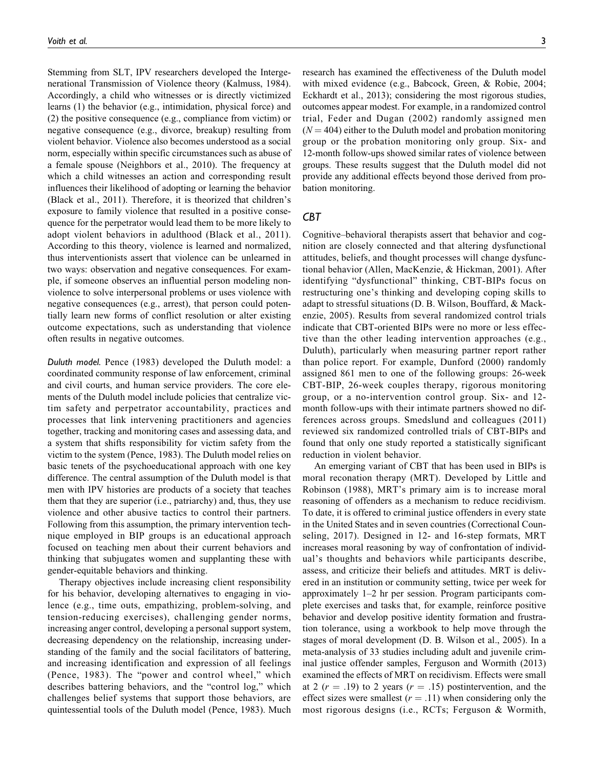Stemming from SLT, IPV researchers developed the Intergenerational Transmission of Violence theory (Kalmuss, 1984). Accordingly, a child who witnesses or is directly victimized learns (1) the behavior (e.g., intimidation, physical force) and (2) the positive consequence (e.g., compliance from victim) or negative consequence (e.g., divorce, breakup) resulting from violent behavior. Violence also becomes understood as a social norm, especially within specific circumstances such as abuse of a female spouse (Neighbors et al., 2010). The frequency at which a child witnesses an action and corresponding result influences their likelihood of adopting or learning the behavior (Black et al., 2011). Therefore, it is theorized that children's exposure to family violence that resulted in a positive consequence for the perpetrator would lead them to be more likely to adopt violent behaviors in adulthood (Black et al., 2011). According to this theory, violence is learned and normalized, thus interventionists assert that violence can be unlearned in two ways: observation and negative consequences. For example, if someone observes an influential person modeling nonviolence to solve interpersonal problems or uses violence with negative consequences (e.g., arrest), that person could potentially learn new forms of conflict resolution or alter existing outcome expectations, such as understanding that violence often results in negative outcomes.

Duluth model. Pence (1983) developed the Duluth model: a coordinated community response of law enforcement, criminal and civil courts, and human service providers. The core elements of the Duluth model include policies that centralize victim safety and perpetrator accountability, practices and processes that link intervening practitioners and agencies together, tracking and monitoring cases and assessing data, and a system that shifts responsibility for victim safety from the victim to the system (Pence, 1983). The Duluth model relies on basic tenets of the psychoeducational approach with one key difference. The central assumption of the Duluth model is that men with IPV histories are products of a society that teaches them that they are superior (i.e., patriarchy) and, thus, they use violence and other abusive tactics to control their partners. Following from this assumption, the primary intervention technique employed in BIP groups is an educational approach focused on teaching men about their current behaviors and thinking that subjugates women and supplanting these with gender-equitable behaviors and thinking.

Therapy objectives include increasing client responsibility for his behavior, developing alternatives to engaging in violence (e.g., time outs, empathizing, problem-solving, and tension-reducing exercises), challenging gender norms, increasing anger control, developing a personal support system, decreasing dependency on the relationship, increasing understanding of the family and the social facilitators of battering, and increasing identification and expression of all feelings (Pence, 1983). The "power and control wheel," which describes battering behaviors, and the "control log," which challenges belief systems that support those behaviors, are quintessential tools of the Duluth model (Pence, 1983). Much research has examined the effectiveness of the Duluth model with mixed evidence (e.g., Babcock, Green, & Robie, 2004; Eckhardt et al., 2013); considering the most rigorous studies, outcomes appear modest. For example, in a randomized control trial, Feder and Dugan (2002) randomly assigned men  $(N = 404)$  either to the Duluth model and probation monitoring group or the probation monitoring only group. Six- and 12-month follow-ups showed similar rates of violence between groups. These results suggest that the Duluth model did not provide any additional effects beyond those derived from probation monitoring.

# CBT

Cognitive–behavioral therapists assert that behavior and cognition are closely connected and that altering dysfunctional attitudes, beliefs, and thought processes will change dysfunctional behavior (Allen, MacKenzie, & Hickman, 2001). After identifying "dysfunctional" thinking, CBT-BIPs focus on restructuring one's thinking and developing coping skills to adapt to stressful situations (D. B. Wilson, Bouffard, & Mackenzie, 2005). Results from several randomized control trials indicate that CBT-oriented BIPs were no more or less effective than the other leading intervention approaches (e.g., Duluth), particularly when measuring partner report rather than police report. For example, Dunford (2000) randomly assigned 861 men to one of the following groups: 26-week CBT-BIP, 26-week couples therapy, rigorous monitoring group, or a no-intervention control group. Six- and 12 month follow-ups with their intimate partners showed no differences across groups. Smedslund and colleagues (2011) reviewed six randomized controlled trials of CBT-BIPs and found that only one study reported a statistically significant reduction in violent behavior.

An emerging variant of CBT that has been used in BIPs is moral reconation therapy (MRT). Developed by Little and Robinson (1988), MRT's primary aim is to increase moral reasoning of offenders as a mechanism to reduce recidivism. To date, it is offered to criminal justice offenders in every state in the United States and in seven countries (Correctional Counseling, 2017). Designed in 12- and 16-step formats, MRT increases moral reasoning by way of confrontation of individual's thoughts and behaviors while participants describe, assess, and criticize their beliefs and attitudes. MRT is delivered in an institution or community setting, twice per week for approximately 1–2 hr per session. Program participants complete exercises and tasks that, for example, reinforce positive behavior and develop positive identity formation and frustration tolerance, using a workbook to help move through the stages of moral development (D. B. Wilson et al., 2005). In a meta-analysis of 33 studies including adult and juvenile criminal justice offender samples, Ferguson and Wormith (2013) examined the effects of MRT on recidivism. Effects were small at 2 ( $r = .19$ ) to 2 years ( $r = .15$ ) postintervention, and the effect sizes were smallest  $(r = .11)$  when considering only the most rigorous designs (i.e., RCTs; Ferguson & Wormith,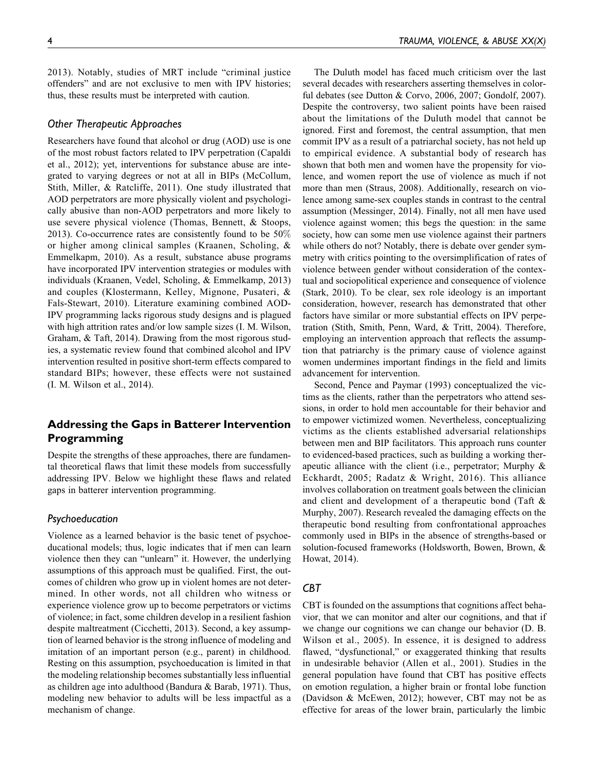2013). Notably, studies of MRT include "criminal justice offenders" and are not exclusive to men with IPV histories; thus, these results must be interpreted with caution.

#### Other Therapeutic Approaches

Researchers have found that alcohol or drug (AOD) use is one of the most robust factors related to IPV perpetration (Capaldi et al., 2012); yet, interventions for substance abuse are integrated to varying degrees or not at all in BIPs (McCollum, Stith, Miller, & Ratcliffe, 2011). One study illustrated that AOD perpetrators are more physically violent and psychologically abusive than non-AOD perpetrators and more likely to use severe physical violence (Thomas, Bennett, & Stoops, 2013). Co-occurrence rates are consistently found to be 50% or higher among clinical samples (Kraanen, Scholing, & Emmelkapm, 2010). As a result, substance abuse programs have incorporated IPV intervention strategies or modules with individuals (Kraanen, Vedel, Scholing, & Emmelkamp, 2013) and couples (Klostermann, Kelley, Mignone, Pusateri, & Fals-Stewart, 2010). Literature examining combined AOD-IPV programming lacks rigorous study designs and is plagued with high attrition rates and/or low sample sizes (I. M. Wilson, Graham, & Taft, 2014). Drawing from the most rigorous studies, a systematic review found that combined alcohol and IPV intervention resulted in positive short-term effects compared to standard BIPs; however, these effects were not sustained (I. M. Wilson et al., 2014).

# Addressing the Gaps in Batterer Intervention Programming

Despite the strengths of these approaches, there are fundamental theoretical flaws that limit these models from successfully addressing IPV. Below we highlight these flaws and related gaps in batterer intervention programming.

#### Psychoeducation

Violence as a learned behavior is the basic tenet of psychoeducational models; thus, logic indicates that if men can learn violence then they can "unlearn" it. However, the underlying assumptions of this approach must be qualified. First, the outcomes of children who grow up in violent homes are not determined. In other words, not all children who witness or experience violence grow up to become perpetrators or victims of violence; in fact, some children develop in a resilient fashion despite maltreatment (Cicchetti, 2013). Second, a key assumption of learned behavior is the strong influence of modeling and imitation of an important person (e.g., parent) in childhood. Resting on this assumption, psychoeducation is limited in that the modeling relationship becomes substantially less influential as children age into adulthood (Bandura & Barab, 1971). Thus, modeling new behavior to adults will be less impactful as a mechanism of change.

The Duluth model has faced much criticism over the last several decades with researchers asserting themselves in colorful debates (see Dutton & Corvo, 2006, 2007; Gondolf, 2007). Despite the controversy, two salient points have been raised about the limitations of the Duluth model that cannot be ignored. First and foremost, the central assumption, that men commit IPV as a result of a patriarchal society, has not held up to empirical evidence. A substantial body of research has shown that both men and women have the propensity for violence, and women report the use of violence as much if not more than men (Straus, 2008). Additionally, research on violence among same-sex couples stands in contrast to the central assumption (Messinger, 2014). Finally, not all men have used violence against women; this begs the question: in the same society, how can some men use violence against their partners while others do not? Notably, there is debate over gender symmetry with critics pointing to the oversimplification of rates of violence between gender without consideration of the contextual and sociopolitical experience and consequence of violence (Stark, 2010). To be clear, sex role ideology is an important consideration, however, research has demonstrated that other factors have similar or more substantial effects on IPV perpetration (Stith, Smith, Penn, Ward, & Tritt, 2004). Therefore, employing an intervention approach that reflects the assumption that patriarchy is the primary cause of violence against women undermines important findings in the field and limits advancement for intervention.

Second, Pence and Paymar (1993) conceptualized the victims as the clients, rather than the perpetrators who attend sessions, in order to hold men accountable for their behavior and to empower victimized women. Nevertheless, conceptualizing victims as the clients established adversarial relationships between men and BIP facilitators. This approach runs counter to evidenced-based practices, such as building a working therapeutic alliance with the client (i.e., perpetrator; Murphy & Eckhardt, 2005; Radatz & Wright, 2016). This alliance involves collaboration on treatment goals between the clinician and client and development of a therapeutic bond (Taft & Murphy, 2007). Research revealed the damaging effects on the therapeutic bond resulting from confrontational approaches commonly used in BIPs in the absence of strengths-based or solution-focused frameworks (Holdsworth, Bowen, Brown, & Howat, 2014).

## CBT

CBT is founded on the assumptions that cognitions affect behavior, that we can monitor and alter our cognitions, and that if we change our cognitions we can change our behavior (D. B. Wilson et al., 2005). In essence, it is designed to address flawed, "dysfunctional," or exaggerated thinking that results in undesirable behavior (Allen et al., 2001). Studies in the general population have found that CBT has positive effects on emotion regulation, a higher brain or frontal lobe function (Davidson & McEwen, 2012); however, CBT may not be as effective for areas of the lower brain, particularly the limbic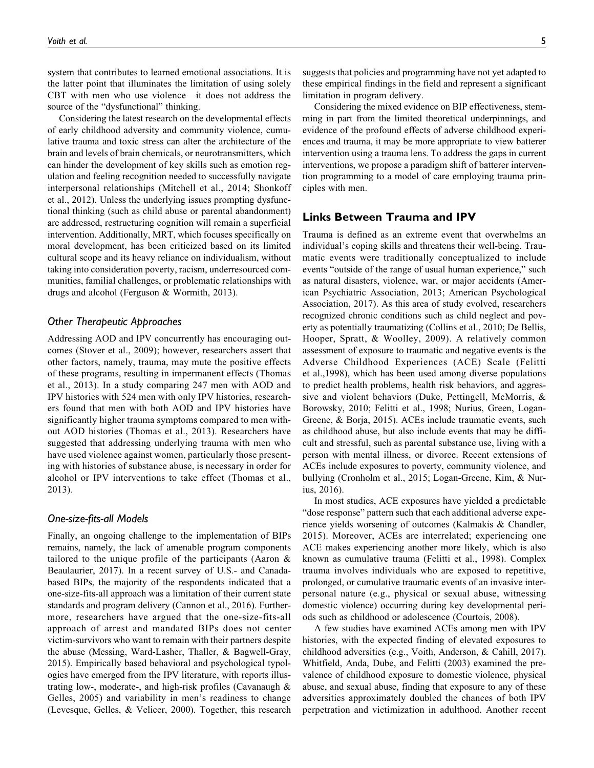system that contributes to learned emotional associations. It is the latter point that illuminates the limitation of using solely CBT with men who use violence—it does not address the source of the "dysfunctional" thinking.

Considering the latest research on the developmental effects of early childhood adversity and community violence, cumulative trauma and toxic stress can alter the architecture of the brain and levels of brain chemicals, or neurotransmitters, which can hinder the development of key skills such as emotion regulation and feeling recognition needed to successfully navigate interpersonal relationships (Mitchell et al., 2014; Shonkoff et al., 2012). Unless the underlying issues prompting dysfunctional thinking (such as child abuse or parental abandonment) are addressed, restructuring cognition will remain a superficial intervention. Additionally, MRT, which focuses specifically on moral development, has been criticized based on its limited cultural scope and its heavy reliance on individualism, without taking into consideration poverty, racism, underresourced communities, familial challenges, or problematic relationships with drugs and alcohol (Ferguson & Wormith, 2013).

#### Other Therapeutic Approaches

Addressing AOD and IPV concurrently has encouraging outcomes (Stover et al., 2009); however, researchers assert that other factors, namely, trauma, may mute the positive effects of these programs, resulting in impermanent effects (Thomas et al., 2013). In a study comparing 247 men with AOD and IPV histories with 524 men with only IPV histories, researchers found that men with both AOD and IPV histories have significantly higher trauma symptoms compared to men without AOD histories (Thomas et al., 2013). Researchers have suggested that addressing underlying trauma with men who have used violence against women, particularly those presenting with histories of substance abuse, is necessary in order for alcohol or IPV interventions to take effect (Thomas et al., 2013).

## One-size-fits-all Models

Finally, an ongoing challenge to the implementation of BIPs remains, namely, the lack of amenable program components tailored to the unique profile of the participants (Aaron & Beaulaurier, 2017). In a recent survey of U.S.- and Canadabased BIPs, the majority of the respondents indicated that a one-size-fits-all approach was a limitation of their current state standards and program delivery (Cannon et al., 2016). Furthermore, researchers have argued that the one-size-fits-all approach of arrest and mandated BIPs does not center victim-survivors who want to remain with their partners despite the abuse (Messing, Ward-Lasher, Thaller, & Bagwell-Gray, 2015). Empirically based behavioral and psychological typologies have emerged from the IPV literature, with reports illustrating low-, moderate-, and high-risk profiles (Cavanaugh & Gelles, 2005) and variability in men's readiness to change (Levesque, Gelles, & Velicer, 2000). Together, this research suggests that policies and programming have not yet adapted to these empirical findings in the field and represent a significant limitation in program delivery.

Considering the mixed evidence on BIP effectiveness, stemming in part from the limited theoretical underpinnings, and evidence of the profound effects of adverse childhood experiences and trauma, it may be more appropriate to view batterer intervention using a trauma lens. To address the gaps in current interventions, we propose a paradigm shift of batterer intervention programming to a model of care employing trauma principles with men.

#### Links Between Trauma and IPV

Trauma is defined as an extreme event that overwhelms an individual's coping skills and threatens their well-being. Traumatic events were traditionally conceptualized to include events "outside of the range of usual human experience," such as natural disasters, violence, war, or major accidents (American Psychiatric Association, 2013; American Psychological Association, 2017). As this area of study evolved, researchers recognized chronic conditions such as child neglect and poverty as potentially traumatizing (Collins et al., 2010; De Bellis, Hooper, Spratt, & Woolley, 2009). A relatively common assessment of exposure to traumatic and negative events is the Adverse Childhood Experiences (ACE) Scale (Felitti et al.,1998), which has been used among diverse populations to predict health problems, health risk behaviors, and aggressive and violent behaviors (Duke, Pettingell, McMorris, & Borowsky, 2010; Felitti et al., 1998; Nurius, Green, Logan-Greene, & Borja, 2015). ACEs include traumatic events, such as childhood abuse, but also include events that may be difficult and stressful, such as parental substance use, living with a person with mental illness, or divorce. Recent extensions of ACEs include exposures to poverty, community violence, and bullying (Cronholm et al., 2015; Logan-Greene, Kim, & Nurius, 2016).

In most studies, ACE exposures have yielded a predictable "dose response" pattern such that each additional adverse experience yields worsening of outcomes (Kalmakis & Chandler, 2015). Moreover, ACEs are interrelated; experiencing one ACE makes experiencing another more likely, which is also known as cumulative trauma (Felitti et al., 1998). Complex trauma involves individuals who are exposed to repetitive, prolonged, or cumulative traumatic events of an invasive interpersonal nature (e.g., physical or sexual abuse, witnessing domestic violence) occurring during key developmental periods such as childhood or adolescence (Courtois, 2008).

A few studies have examined ACEs among men with IPV histories, with the expected finding of elevated exposures to childhood adversities (e.g., Voith, Anderson, & Cahill, 2017). Whitfield, Anda, Dube, and Felitti (2003) examined the prevalence of childhood exposure to domestic violence, physical abuse, and sexual abuse, finding that exposure to any of these adversities approximately doubled the chances of both IPV perpetration and victimization in adulthood. Another recent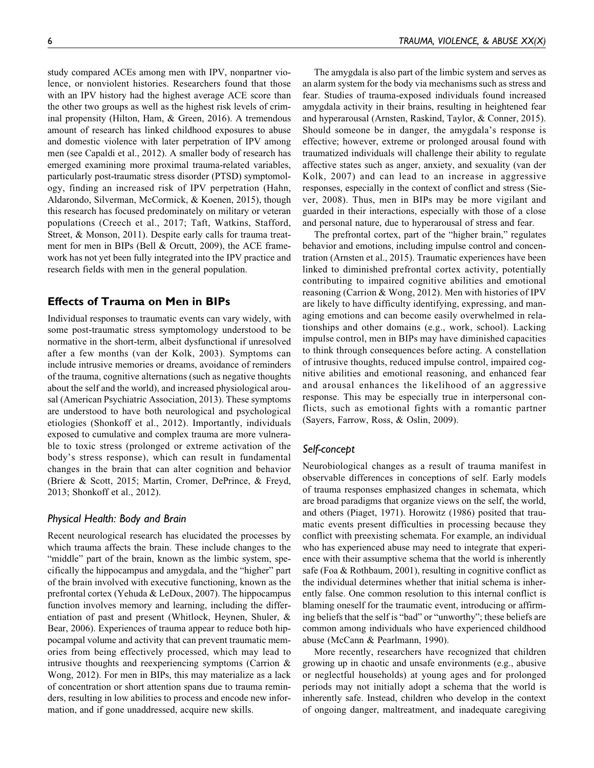study compared ACEs among men with IPV, nonpartner violence, or nonviolent histories. Researchers found that those with an IPV history had the highest average ACE score than the other two groups as well as the highest risk levels of criminal propensity (Hilton, Ham, & Green, 2016). A tremendous amount of research has linked childhood exposures to abuse and domestic violence with later perpetration of IPV among men (see Capaldi et al., 2012). A smaller body of research has emerged examining more proximal trauma-related variables, particularly post-traumatic stress disorder (PTSD) symptomology, finding an increased risk of IPV perpetration (Hahn, Aldarondo, Silverman, McCormick, & Koenen, 2015), though this research has focused predominately on military or veteran populations (Creech et al., 2017; Taft, Watkins, Stafford, Street, & Monson, 2011). Despite early calls for trauma treatment for men in BIPs (Bell & Orcutt, 2009), the ACE framework has not yet been fully integrated into the IPV practice and research fields with men in the general population.

# Effects of Trauma on Men in BIPs

Individual responses to traumatic events can vary widely, with some post-traumatic stress symptomology understood to be normative in the short-term, albeit dysfunctional if unresolved after a few months (van der Kolk, 2003). Symptoms can include intrusive memories or dreams, avoidance of reminders of the trauma, cognitive alternations (such as negative thoughts about the self and the world), and increased physiological arousal (American Psychiatric Association, 2013). These symptoms are understood to have both neurological and psychological etiologies (Shonkoff et al., 2012). Importantly, individuals exposed to cumulative and complex trauma are more vulnerable to toxic stress (prolonged or extreme activation of the body's stress response), which can result in fundamental changes in the brain that can alter cognition and behavior (Briere & Scott, 2015; Martin, Cromer, DePrince, & Freyd, 2013; Shonkoff et al., 2012).

#### Physical Health: Body and Brain

Recent neurological research has elucidated the processes by which trauma affects the brain. These include changes to the "middle" part of the brain, known as the limbic system, specifically the hippocampus and amygdala, and the "higher" part of the brain involved with executive functioning, known as the prefrontal cortex (Yehuda & LeDoux, 2007). The hippocampus function involves memory and learning, including the differentiation of past and present (Whitlock, Heynen, Shuler, & Bear, 2006). Experiences of trauma appear to reduce both hippocampal volume and activity that can prevent traumatic memories from being effectively processed, which may lead to intrusive thoughts and reexperiencing symptoms (Carrion & Wong, 2012). For men in BIPs, this may materialize as a lack of concentration or short attention spans due to trauma reminders, resulting in low abilities to process and encode new information, and if gone unaddressed, acquire new skills.

The amygdala is also part of the limbic system and serves as an alarm system for the body via mechanisms such as stress and fear. Studies of trauma-exposed individuals found increased amygdala activity in their brains, resulting in heightened fear and hyperarousal (Arnsten, Raskind, Taylor, & Conner, 2015). Should someone be in danger, the amygdala's response is effective; however, extreme or prolonged arousal found with traumatized individuals will challenge their ability to regulate affective states such as anger, anxiety, and sexuality (van der Kolk, 2007) and can lead to an increase in aggressive responses, especially in the context of conflict and stress (Siever, 2008). Thus, men in BIPs may be more vigilant and guarded in their interactions, especially with those of a close and personal nature, due to hyperarousal of stress and fear.

The prefrontal cortex, part of the "higher brain," regulates behavior and emotions, including impulse control and concentration (Arnsten et al., 2015). Traumatic experiences have been linked to diminished prefrontal cortex activity, potentially contributing to impaired cognitive abilities and emotional reasoning (Carrion & Wong, 2012). Men with histories of IPV are likely to have difficulty identifying, expressing, and managing emotions and can become easily overwhelmed in relationships and other domains (e.g., work, school). Lacking impulse control, men in BIPs may have diminished capacities to think through consequences before acting. A constellation of intrusive thoughts, reduced impulse control, impaired cognitive abilities and emotional reasoning, and enhanced fear and arousal enhances the likelihood of an aggressive response. This may be especially true in interpersonal conflicts, such as emotional fights with a romantic partner (Sayers, Farrow, Ross, & Oslin, 2009).

#### Self-concept

Neurobiological changes as a result of trauma manifest in observable differences in conceptions of self. Early models of trauma responses emphasized changes in schemata, which are broad paradigms that organize views on the self, the world, and others (Piaget, 1971). Horowitz (1986) posited that traumatic events present difficulties in processing because they conflict with preexisting schemata. For example, an individual who has experienced abuse may need to integrate that experience with their assumptive schema that the world is inherently safe (Foa & Rothbaum, 2001), resulting in cognitive conflict as the individual determines whether that initial schema is inherently false. One common resolution to this internal conflict is blaming oneself for the traumatic event, introducing or affirming beliefs that the self is "bad" or "unworthy"; these beliefs are common among individuals who have experienced childhood abuse (McCann & Pearlmann, 1990).

More recently, researchers have recognized that children growing up in chaotic and unsafe environments (e.g., abusive or neglectful households) at young ages and for prolonged periods may not initially adopt a schema that the world is inherently safe. Instead, children who develop in the context of ongoing danger, maltreatment, and inadequate caregiving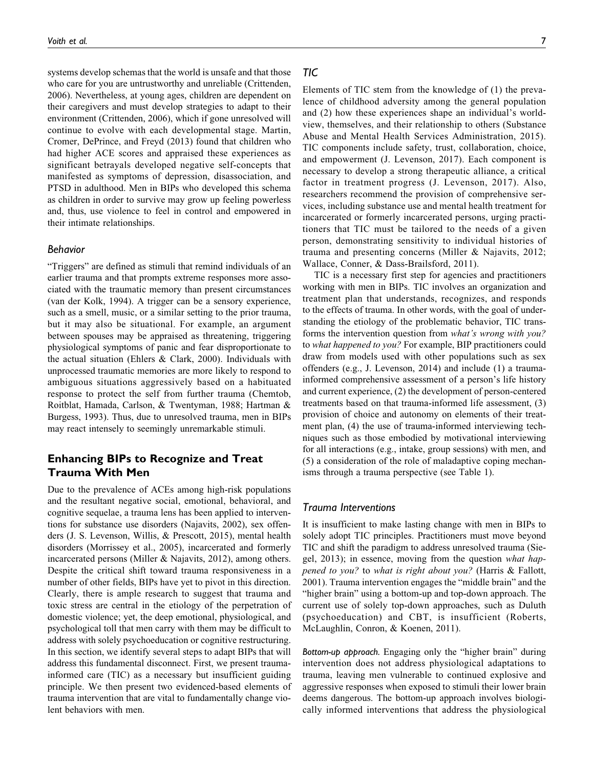systems develop schemas that the world is unsafe and that those who care for you are untrustworthy and unreliable (Crittenden, 2006). Nevertheless, at young ages, children are dependent on their caregivers and must develop strategies to adapt to their environment (Crittenden, 2006), which if gone unresolved will continue to evolve with each developmental stage. Martin, Cromer, DePrince, and Freyd (2013) found that children who had higher ACE scores and appraised these experiences as significant betrayals developed negative self-concepts that manifested as symptoms of depression, disassociation, and PTSD in adulthood. Men in BIPs who developed this schema as children in order to survive may grow up feeling powerless and, thus, use violence to feel in control and empowered in their intimate relationships.

#### Behavior

"Triggers" are defined as stimuli that remind individuals of an earlier trauma and that prompts extreme responses more associated with the traumatic memory than present circumstances (van der Kolk, 1994). A trigger can be a sensory experience, such as a smell, music, or a similar setting to the prior trauma, but it may also be situational. For example, an argument between spouses may be appraised as threatening, triggering physiological symptoms of panic and fear disproportionate to the actual situation (Ehlers & Clark, 2000). Individuals with unprocessed traumatic memories are more likely to respond to ambiguous situations aggressively based on a habituated response to protect the self from further trauma (Chemtob, Roitblat, Hamada, Carlson, & Twentyman, 1988; Hartman & Burgess, 1993). Thus, due to unresolved trauma, men in BIPs may react intensely to seemingly unremarkable stimuli.

# Enhancing BIPs to Recognize and Treat Trauma With Men

Due to the prevalence of ACEs among high-risk populations and the resultant negative social, emotional, behavioral, and cognitive sequelae, a trauma lens has been applied to interventions for substance use disorders (Najavits, 2002), sex offenders (J. S. Levenson, Willis, & Prescott, 2015), mental health disorders (Morrissey et al., 2005), incarcerated and formerly incarcerated persons (Miller & Najavits, 2012), among others. Despite the critical shift toward trauma responsiveness in a number of other fields, BIPs have yet to pivot in this direction. Clearly, there is ample research to suggest that trauma and toxic stress are central in the etiology of the perpetration of domestic violence; yet, the deep emotional, physiological, and psychological toll that men carry with them may be difficult to address with solely psychoeducation or cognitive restructuring. In this section, we identify several steps to adapt BIPs that will address this fundamental disconnect. First, we present traumainformed care (TIC) as a necessary but insufficient guiding principle. We then present two evidenced-based elements of trauma intervention that are vital to fundamentally change violent behaviors with men.

# TIC

Elements of TIC stem from the knowledge of (1) the prevalence of childhood adversity among the general population and (2) how these experiences shape an individual's worldview, themselves, and their relationship to others (Substance Abuse and Mental Health Services Administration, 2015). TIC components include safety, trust, collaboration, choice, and empowerment (J. Levenson, 2017). Each component is necessary to develop a strong therapeutic alliance, a critical factor in treatment progress (J. Levenson, 2017). Also, researchers recommend the provision of comprehensive services, including substance use and mental health treatment for incarcerated or formerly incarcerated persons, urging practitioners that TIC must be tailored to the needs of a given person, demonstrating sensitivity to individual histories of trauma and presenting concerns (Miller & Najavits, 2012; Wallace, Conner, & Dass-Brailsford, 2011).

TIC is a necessary first step for agencies and practitioners working with men in BIPs. TIC involves an organization and treatment plan that understands, recognizes, and responds to the effects of trauma. In other words, with the goal of understanding the etiology of the problematic behavior, TIC transforms the intervention question from what's wrong with you? to what happened to you? For example, BIP practitioners could draw from models used with other populations such as sex offenders (e.g., J. Levenson, 2014) and include (1) a traumainformed comprehensive assessment of a person's life history and current experience, (2) the development of person-centered treatments based on that trauma-informed life assessment, (3) provision of choice and autonomy on elements of their treatment plan, (4) the use of trauma-informed interviewing techniques such as those embodied by motivational interviewing for all interactions (e.g., intake, group sessions) with men, and (5) a consideration of the role of maladaptive coping mechanisms through a trauma perspective (see Table 1).

#### Trauma Interventions

It is insufficient to make lasting change with men in BIPs to solely adopt TIC principles. Practitioners must move beyond TIC and shift the paradigm to address unresolved trauma (Siegel, 2013); in essence, moving from the question what happened to you? to what is right about you? (Harris & Fallott, 2001). Trauma intervention engages the "middle brain" and the "higher brain" using a bottom-up and top-down approach. The current use of solely top-down approaches, such as Duluth (psychoeducation) and CBT, is insufficient (Roberts, McLaughlin, Conron, & Koenen, 2011).

Bottom-up approach. Engaging only the "higher brain" during intervention does not address physiological adaptations to trauma, leaving men vulnerable to continued explosive and aggressive responses when exposed to stimuli their lower brain deems dangerous. The bottom-up approach involves biologically informed interventions that address the physiological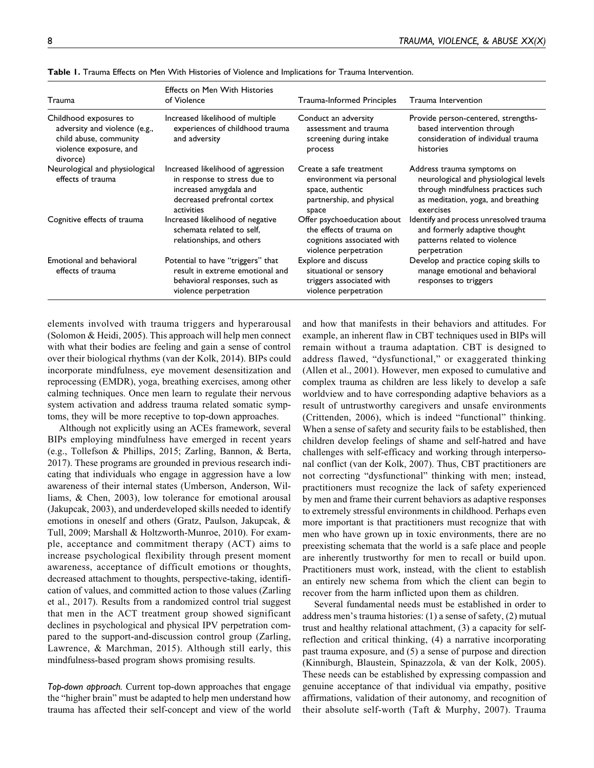| Trauma                                                                                                                  | <b>Effects on Men With Histories</b><br>of Violence                                                                                       | Trauma-Informed Principles                                                                                     | Trauma Intervention                                                                                                                                          |
|-------------------------------------------------------------------------------------------------------------------------|-------------------------------------------------------------------------------------------------------------------------------------------|----------------------------------------------------------------------------------------------------------------|--------------------------------------------------------------------------------------------------------------------------------------------------------------|
| Childhood exposures to<br>adversity and violence (e.g.,<br>child abuse, community<br>violence exposure, and<br>divorce) | Increased likelihood of multiple<br>experiences of childhood trauma<br>and adversity                                                      | Conduct an adversity<br>assessment and trauma<br>screening during intake<br>process                            | Provide person-centered, strengths-<br>based intervention through<br>consideration of individual trauma<br>histories                                         |
| Neurological and physiological<br>effects of trauma                                                                     | Increased likelihood of aggression<br>in response to stress due to<br>increased amygdala and<br>decreased prefrontal cortex<br>activities | Create a safe treatment<br>environment via personal<br>space, authentic<br>partnership, and physical<br>space  | Address trauma symptoms on<br>neurological and physiological levels<br>through mindfulness practices such<br>as meditation, yoga, and breathing<br>exercises |
| Cognitive effects of trauma                                                                                             | Increased likelihood of negative<br>schemata related to self,<br>relationships, and others                                                | Offer psychoeducation about<br>the effects of trauma on<br>cognitions associated with<br>violence perpetration | Identify and process unresolved trauma<br>and formerly adaptive thought<br>patterns related to violence<br>perpetration                                      |
| Emotional and behavioral<br>effects of trauma                                                                           | Potential to have "triggers" that<br>result in extreme emotional and<br>behavioral responses, such as<br>violence perpetration            | <b>Explore and discuss</b><br>situational or sensory<br>triggers associated with<br>violence perpetration      | Develop and practice coping skills to<br>manage emotional and behavioral<br>responses to triggers                                                            |

Table 1. Trauma Effects on Men With Histories of Violence and Implications for Trauma Intervention.

elements involved with trauma triggers and hyperarousal (Solomon & Heidi, 2005). This approach will help men connect with what their bodies are feeling and gain a sense of control over their biological rhythms (van der Kolk, 2014). BIPs could incorporate mindfulness, eye movement desensitization and reprocessing (EMDR), yoga, breathing exercises, among other calming techniques. Once men learn to regulate their nervous system activation and address trauma related somatic symptoms, they will be more receptive to top-down approaches.

Although not explicitly using an ACEs framework, several BIPs employing mindfulness have emerged in recent years (e.g., Tollefson & Phillips, 2015; Zarling, Bannon, & Berta, 2017). These programs are grounded in previous research indicating that individuals who engage in aggression have a low awareness of their internal states (Umberson, Anderson, Williams, & Chen, 2003), low tolerance for emotional arousal (Jakupcak, 2003), and underdeveloped skills needed to identify emotions in oneself and others (Gratz, Paulson, Jakupcak, & Tull, 2009; Marshall & Holtzworth-Munroe, 2010). For example, acceptance and commitment therapy (ACT) aims to increase psychological flexibility through present moment awareness, acceptance of difficult emotions or thoughts, decreased attachment to thoughts, perspective-taking, identification of values, and committed action to those values (Zarling et al., 2017). Results from a randomized control trial suggest that men in the ACT treatment group showed significant declines in psychological and physical IPV perpetration compared to the support-and-discussion control group (Zarling, Lawrence, & Marchman, 2015). Although still early, this mindfulness-based program shows promising results.

Top-down approach. Current top-down approaches that engage the "higher brain" must be adapted to help men understand how trauma has affected their self-concept and view of the world and how that manifests in their behaviors and attitudes. For example, an inherent flaw in CBT techniques used in BIPs will remain without a trauma adaptation. CBT is designed to address flawed, "dysfunctional," or exaggerated thinking (Allen et al., 2001). However, men exposed to cumulative and complex trauma as children are less likely to develop a safe worldview and to have corresponding adaptive behaviors as a result of untrustworthy caregivers and unsafe environments (Crittenden, 2006), which is indeed "functional" thinking. When a sense of safety and security fails to be established, then children develop feelings of shame and self-hatred and have challenges with self-efficacy and working through interpersonal conflict (van der Kolk, 2007). Thus, CBT practitioners are not correcting "dysfunctional" thinking with men; instead, practitioners must recognize the lack of safety experienced by men and frame their current behaviors as adaptive responses to extremely stressful environments in childhood. Perhaps even more important is that practitioners must recognize that with men who have grown up in toxic environments, there are no preexisting schemata that the world is a safe place and people are inherently trustworthy for men to recall or build upon. Practitioners must work, instead, with the client to establish an entirely new schema from which the client can begin to recover from the harm inflicted upon them as children.

Several fundamental needs must be established in order to address men's trauma histories: (1) a sense of safety, (2) mutual trust and healthy relational attachment, (3) a capacity for selfreflection and critical thinking, (4) a narrative incorporating past trauma exposure, and (5) a sense of purpose and direction (Kinniburgh, Blaustein, Spinazzola, & van der Kolk, 2005). These needs can be established by expressing compassion and genuine acceptance of that individual via empathy, positive affirmations, validation of their autonomy, and recognition of their absolute self-worth (Taft & Murphy, 2007). Trauma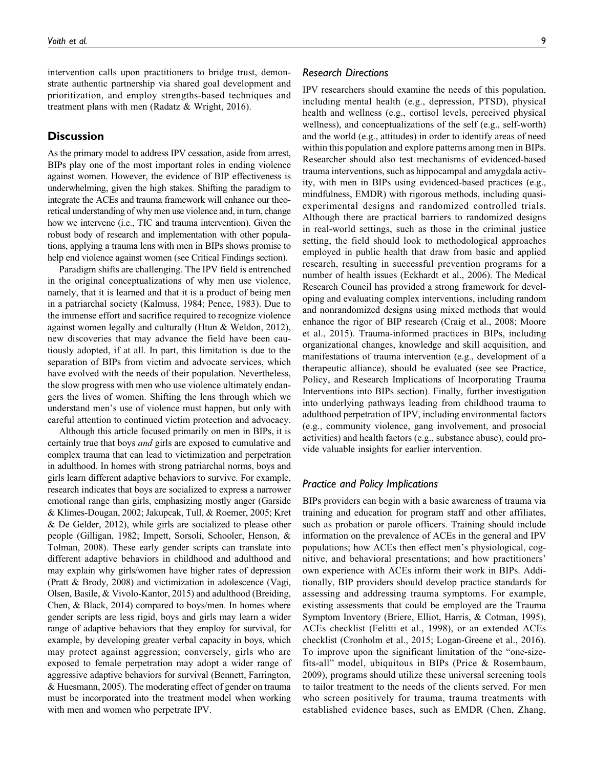intervention calls upon practitioners to bridge trust, demonstrate authentic partnership via shared goal development and prioritization, and employ strengths-based techniques and treatment plans with men (Radatz & Wright, 2016).

## **Discussion**

As the primary model to address IPV cessation, aside from arrest, BIPs play one of the most important roles in ending violence against women. However, the evidence of BIP effectiveness is underwhelming, given the high stakes. Shifting the paradigm to integrate the ACEs and trauma framework will enhance our theoretical understanding of why men use violence and, in turn, change how we intervene (i.e., TIC and trauma intervention). Given the robust body of research and implementation with other populations, applying a trauma lens with men in BIPs shows promise to help end violence against women (see Critical Findings section).

Paradigm shifts are challenging. The IPV field is entrenched in the original conceptualizations of why men use violence, namely, that it is learned and that it is a product of being men in a patriarchal society (Kalmuss, 1984; Pence, 1983). Due to the immense effort and sacrifice required to recognize violence against women legally and culturally (Htun & Weldon, 2012), new discoveries that may advance the field have been cautiously adopted, if at all. In part, this limitation is due to the separation of BIPs from victim and advocate services, which have evolved with the needs of their population. Nevertheless, the slow progress with men who use violence ultimately endangers the lives of women. Shifting the lens through which we understand men's use of violence must happen, but only with careful attention to continued victim protection and advocacy.

Although this article focused primarily on men in BIPs, it is certainly true that boys *and* girls are exposed to cumulative and complex trauma that can lead to victimization and perpetration in adulthood. In homes with strong patriarchal norms, boys and girls learn different adaptive behaviors to survive. For example, research indicates that boys are socialized to express a narrower emotional range than girls, emphasizing mostly anger (Garside & Klimes-Dougan, 2002; Jakupcak, Tull, & Roemer, 2005; Kret & De Gelder, 2012), while girls are socialized to please other people (Gilligan, 1982; Impett, Sorsoli, Schooler, Henson, & Tolman, 2008). These early gender scripts can translate into different adaptive behaviors in childhood and adulthood and may explain why girls/women have higher rates of depression (Pratt & Brody, 2008) and victimization in adolescence (Vagi, Olsen, Basile, & Vivolo-Kantor, 2015) and adulthood (Breiding, Chen, & Black, 2014) compared to boys/men. In homes where gender scripts are less rigid, boys and girls may learn a wider range of adaptive behaviors that they employ for survival, for example, by developing greater verbal capacity in boys, which may protect against aggression; conversely, girls who are exposed to female perpetration may adopt a wider range of aggressive adaptive behaviors for survival (Bennett, Farrington, & Huesmann, 2005). The moderating effect of gender on trauma must be incorporated into the treatment model when working with men and women who perpetrate IPV.

#### Research Directions

IPV researchers should examine the needs of this population, including mental health (e.g., depression, PTSD), physical health and wellness (e.g., cortisol levels, perceived physical wellness), and conceptualizations of the self (e.g., self-worth) and the world (e.g., attitudes) in order to identify areas of need within this population and explore patterns among men in BIPs. Researcher should also test mechanisms of evidenced-based trauma interventions, such as hippocampal and amygdala activity, with men in BIPs using evidenced-based practices (e.g., mindfulness, EMDR) with rigorous methods, including quasiexperimental designs and randomized controlled trials. Although there are practical barriers to randomized designs in real-world settings, such as those in the criminal justice setting, the field should look to methodological approaches employed in public health that draw from basic and applied research, resulting in successful prevention programs for a number of health issues (Eckhardt et al., 2006). The Medical Research Council has provided a strong framework for developing and evaluating complex interventions, including random and nonrandomized designs using mixed methods that would enhance the rigor of BIP research (Craig et al., 2008; Moore et al., 2015). Trauma-informed practices in BIPs, including organizational changes, knowledge and skill acquisition, and manifestations of trauma intervention (e.g., development of a therapeutic alliance), should be evaluated (see see Practice, Policy, and Research Implications of Incorporating Trauma Interventions into BIPs section). Finally, further investigation into underlying pathways leading from childhood trauma to adulthood perpetration of IPV, including environmental factors (e.g., community violence, gang involvement, and prosocial activities) and health factors (e.g., substance abuse), could provide valuable insights for earlier intervention.

## Practice and Policy Implications

BIPs providers can begin with a basic awareness of trauma via training and education for program staff and other affiliates, such as probation or parole officers. Training should include information on the prevalence of ACEs in the general and IPV populations; how ACEs then effect men's physiological, cognitive, and behavioral presentations; and how practitioners' own experience with ACEs inform their work in BIPs. Additionally, BIP providers should develop practice standards for assessing and addressing trauma symptoms. For example, existing assessments that could be employed are the Trauma Symptom Inventory (Briere, Elliot, Harris, & Cotman, 1995), ACEs checklist (Felitti et al., 1998), or an extended ACEs checklist (Cronholm et al., 2015; Logan-Greene et al., 2016). To improve upon the significant limitation of the "one-sizefits-all" model, ubiquitous in BIPs (Price & Rosembaum, 2009), programs should utilize these universal screening tools to tailor treatment to the needs of the clients served. For men who screen positively for trauma, trauma treatments with established evidence bases, such as EMDR (Chen, Zhang,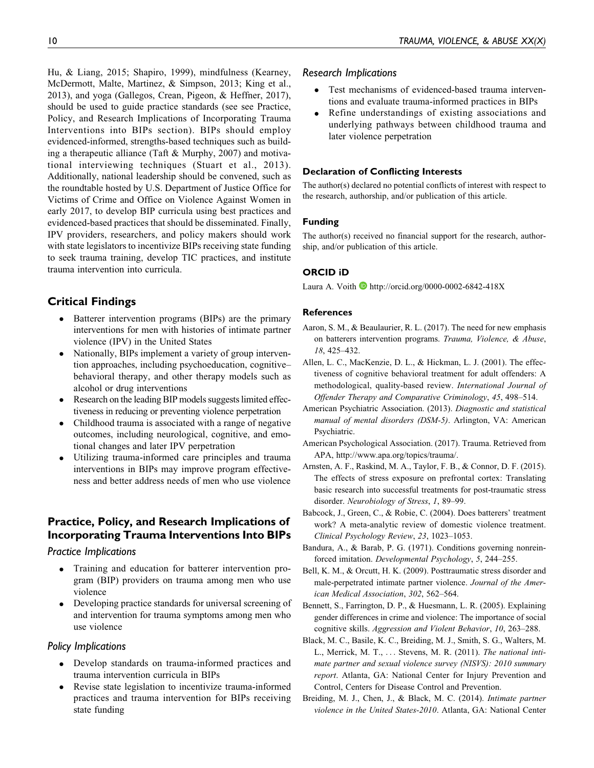Hu, & Liang, 2015; Shapiro, 1999), mindfulness (Kearney, McDermott, Malte, Martinez, & Simpson, 2013; King et al., 2013), and yoga (Gallegos, Crean, Pigeon, & Heffner, 2017), should be used to guide practice standards (see see Practice, Policy, and Research Implications of Incorporating Trauma Interventions into BIPs section). BIPs should employ evidenced-informed, strengths-based techniques such as building a therapeutic alliance (Taft & Murphy, 2007) and motivational interviewing techniques (Stuart et al., 2013). Additionally, national leadership should be convened, such as the roundtable hosted by U.S. Department of Justice Office for Victims of Crime and Office on Violence Against Women in early 2017, to develop BIP curricula using best practices and evidenced-based practices that should be disseminated. Finally, IPV providers, researchers, and policy makers should work with state legislators to incentivize BIPs receiving state funding to seek trauma training, develop TIC practices, and institute trauma intervention into curricula.

# Critical Findings

- Batterer intervention programs (BIPs) are the primary interventions for men with histories of intimate partner violence (IPV) in the United States
- Nationally, BIPs implement a variety of group intervention approaches, including psychoeducation, cognitive– behavioral therapy, and other therapy models such as alcohol or drug interventions
- $\bullet$  Research on the leading BIP models suggests limited effectiveness in reducing or preventing violence perpetration
- Childhood trauma is associated with a range of negative outcomes, including neurological, cognitive, and emotional changes and later IPV perpetration
- $\bullet$  Utilizing trauma-informed care principles and trauma interventions in BIPs may improve program effectiveness and better address needs of men who use violence

# Practice, Policy, and Research Implications of Incorporating Trauma Interventions Into BIPs

#### Practice Implications

- Training and education for batterer intervention program (BIP) providers on trauma among men who use violence
- Developing practice standards for universal screening of and intervention for trauma symptoms among men who use violence

# Policy Implications

- Develop standards on trauma-informed practices and trauma intervention curricula in BIPs
- $\bullet$  Revise state legislation to incentivize trauma-informed practices and trauma intervention for BIPs receiving state funding

## Research Implications

- $\bullet$  Test mechanisms of evidenced-based trauma interventions and evaluate trauma-informed practices in BIPs
- $\bullet$  Refine understandings of existing associations and underlying pathways between childhood trauma and later violence perpetration

# Declaration of Conflicting Interests

The author(s) declared no potential conflicts of interest with respect to the research, authorship, and/or publication of this article.

#### Funding

The author(s) received no financial support for the research, authorship, and/or publication of this article.

## ORCID iD

Laura A. Voith  $\blacksquare$  <http://orcid.org/0000-0002-6842-418X>

#### **References**

- Aaron, S. M., & Beaulaurier, R. L. (2017). The need for new emphasis on batterers intervention programs. Trauma, Violence, & Abuse, 18, 425–432.
- Allen, L. C., MacKenzie, D. L., & Hickman, L. J. (2001). The effectiveness of cognitive behavioral treatment for adult offenders: A methodological, quality-based review. International Journal of Offender Therapy and Comparative Criminology, 45, 498–514.
- American Psychiatric Association. (2013). Diagnostic and statistical manual of mental disorders (DSM-5). Arlington, VA: American Psychiatric.
- American Psychological Association. (2017). Trauma. Retrieved from APA, [http://www.apa.org/topics/trauma/.](http://www.apa.org/topics/trauma/)
- Arnsten, A. F., Raskind, M. A., Taylor, F. B., & Connor, D. F. (2015). The effects of stress exposure on prefrontal cortex: Translating basic research into successful treatments for post-traumatic stress disorder. Neurobiology of Stress, 1, 89-99.
- Babcock, J., Green, C., & Robie, C. (2004). Does batterers' treatment work? A meta-analytic review of domestic violence treatment. Clinical Psychology Review, 23, 1023–1053.
- Bandura, A., & Barab, P. G. (1971). Conditions governing nonreinforced imitation. Developmental Psychology, 5, 244–255.
- Bell, K. M., & Orcutt, H. K. (2009). Posttraumatic stress disorder and male-perpetrated intimate partner violence. Journal of the American Medical Association, 302, 562–564.

Bennett, S., Farrington, D. P., & Huesmann, L. R. (2005). Explaining gender differences in crime and violence: The importance of social cognitive skills. Aggression and Violent Behavior, 10, 263–288.

- Black, M. C., Basile, K. C., Breiding, M. J., Smith, S. G., Walters, M. L., Merrick, M. T., ... Stevens, M. R. (2011). The national intimate partner and sexual violence survey (NISVS): 2010 summary report. Atlanta, GA: National Center for Injury Prevention and Control, Centers for Disease Control and Prevention.
- Breiding, M. J., Chen, J., & Black, M. C. (2014). Intimate partner violence in the United States-2010. Atlanta, GA: National Center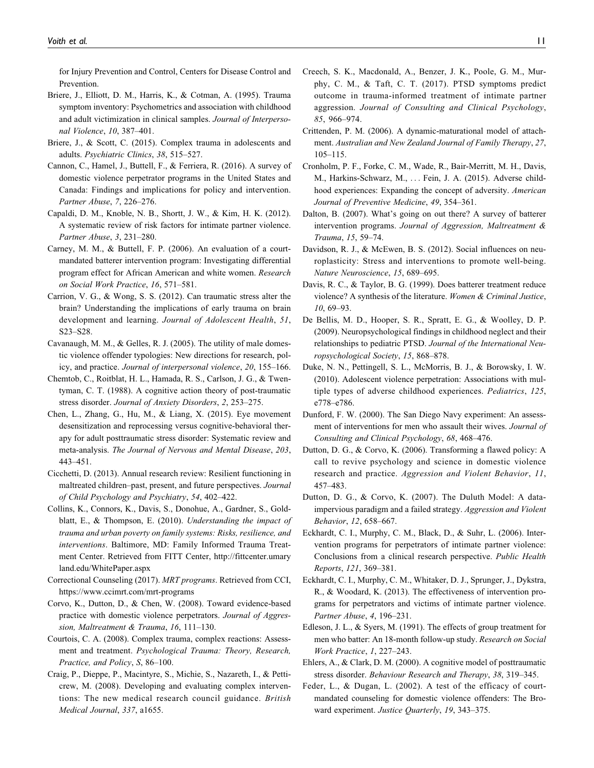for Injury Prevention and Control, Centers for Disease Control and Prevention.

- Briere, J., Elliott, D. M., Harris, K., & Cotman, A. (1995). Trauma symptom inventory: Psychometrics and association with childhood and adult victimization in clinical samples. Journal of Interpersonal Violence, 10, 387–401.
- Briere, J., & Scott, C. (2015). Complex trauma in adolescents and adults. Psychiatric Clinics, 38, 515–527.
- Cannon, C., Hamel, J., Buttell, F., & Ferriera, R. (2016). A survey of domestic violence perpetrator programs in the United States and Canada: Findings and implications for policy and intervention. Partner Abuse, 7, 226–276.
- Capaldi, D. M., Knoble, N. B., Shortt, J. W., & Kim, H. K. (2012). A systematic review of risk factors for intimate partner violence. Partner Abuse, 3, 231–280.
- Carney, M. M., & Buttell, F. P. (2006). An evaluation of a courtmandated batterer intervention program: Investigating differential program effect for African American and white women. Research on Social Work Practice, 16, 571–581.
- Carrion, V. G., & Wong, S. S. (2012). Can traumatic stress alter the brain? Understanding the implications of early trauma on brain development and learning. Journal of Adolescent Health, 51, S23–S28.
- Cavanaugh, M. M., & Gelles, R. J. (2005). The utility of male domestic violence offender typologies: New directions for research, policy, and practice. Journal of interpersonal violence, 20, 155–166.
- Chemtob, C., Roitblat, H. L., Hamada, R. S., Carlson, J. G., & Twentyman, C. T. (1988). A cognitive action theory of post-traumatic stress disorder. Journal of Anxiety Disorders, 2, 253–275.
- Chen, L., Zhang, G., Hu, M., & Liang, X. (2015). Eye movement desensitization and reprocessing versus cognitive-behavioral therapy for adult posttraumatic stress disorder: Systematic review and meta-analysis. The Journal of Nervous and Mental Disease, 203, 443–451.
- Cicchetti, D. (2013). Annual research review: Resilient functioning in maltreated children–past, present, and future perspectives. Journal of Child Psychology and Psychiatry, 54, 402–422.
- Collins, K., Connors, K., Davis, S., Donohue, A., Gardner, S., Goldblatt, E., & Thompson, E. (2010). Understanding the impact of trauma and urban poverty on family systems: Risks, resilience, and interventions. Baltimore, MD: Family Informed Trauma Treatment Center. Retrieved from FITT Center, [http://fittcenter.umary](http://fittcenter.umaryland.edu/WhitePaper.aspx) [land.edu/WhitePaper.aspx](http://fittcenter.umaryland.edu/WhitePaper.aspx)
- Correctional Counseling (2017). MRT programs. Retrieved from CCI, <https://www.ccimrt.com/mrt-programs>
- Corvo, K., Dutton, D., & Chen, W. (2008). Toward evidence-based practice with domestic violence perpetrators. Journal of Aggression, Maltreatment & Trauma, 16, 111–130.
- Courtois, C. A. (2008). Complex trauma, complex reactions: Assessment and treatment. Psychological Trauma: Theory, Research, Practice, and Policy, S, 86–100.
- Craig, P., Dieppe, P., Macintyre, S., Michie, S., Nazareth, I., & Petticrew, M. (2008). Developing and evaluating complex interventions: The new medical research council guidance. British Medical Journal, 337, a1655.
- Creech, S. K., Macdonald, A., Benzer, J. K., Poole, G. M., Murphy, C. M., & Taft, C. T. (2017). PTSD symptoms predict outcome in trauma-informed treatment of intimate partner aggression. Journal of Consulting and Clinical Psychology, 85, 966–974.
- Crittenden, P. M. (2006). A dynamic-maturational model of attachment. Australian and New Zealand Journal of Family Therapy, 27, 105–115.
- Cronholm, P. F., Forke, C. M., Wade, R., Bair-Merritt, M. H., Davis, M., Harkins-Schwarz, M., ... Fein, J. A. (2015). Adverse childhood experiences: Expanding the concept of adversity. American Journal of Preventive Medicine, 49, 354–361.
- Dalton, B. (2007). What's going on out there? A survey of batterer intervention programs. Journal of Aggression, Maltreatment & Trauma, 15, 59–74.
- Davidson, R. J., & McEwen, B. S. (2012). Social influences on neuroplasticity: Stress and interventions to promote well-being. Nature Neuroscience, 15, 689–695.
- Davis, R. C., & Taylor, B. G. (1999). Does batterer treatment reduce violence? A synthesis of the literature. Women & Criminal Justice, 10, 69–93.
- De Bellis, M. D., Hooper, S. R., Spratt, E. G., & Woolley, D. P. (2009). Neuropsychological findings in childhood neglect and their relationships to pediatric PTSD. Journal of the International Neuropsychological Society, 15, 868–878.
- Duke, N. N., Pettingell, S. L., McMorris, B. J., & Borowsky, I. W. (2010). Adolescent violence perpetration: Associations with multiple types of adverse childhood experiences. Pediatrics, 125, e778–e786.
- Dunford, F. W. (2000). The San Diego Navy experiment: An assessment of interventions for men who assault their wives. Journal of Consulting and Clinical Psychology, 68, 468–476.
- Dutton, D. G., & Corvo, K. (2006). Transforming a flawed policy: A call to revive psychology and science in domestic violence research and practice. Aggression and Violent Behavior, 11, 457–483.
- Dutton, D. G., & Corvo, K. (2007). The Duluth Model: A dataimpervious paradigm and a failed strategy. Aggression and Violent Behavior, 12, 658–667.
- Eckhardt, C. I., Murphy, C. M., Black, D., & Suhr, L. (2006). Intervention programs for perpetrators of intimate partner violence: Conclusions from a clinical research perspective. Public Health Reports, 121, 369–381.
- Eckhardt, C. I., Murphy, C. M., Whitaker, D. J., Sprunger, J., Dykstra, R., & Woodard, K. (2013). The effectiveness of intervention programs for perpetrators and victims of intimate partner violence. Partner Abuse, 4, 196–231.
- Edleson, J. L., & Syers, M. (1991). The effects of group treatment for men who batter: An 18-month follow-up study. Research on Social Work Practice, 1, 227–243.
- Ehlers, A., & Clark, D. M. (2000). A cognitive model of posttraumatic stress disorder. Behaviour Research and Therapy, 38, 319–345.
- Feder, L., & Dugan, L. (2002). A test of the efficacy of courtmandated counseling for domestic violence offenders: The Broward experiment. Justice Quarterly, 19, 343–375.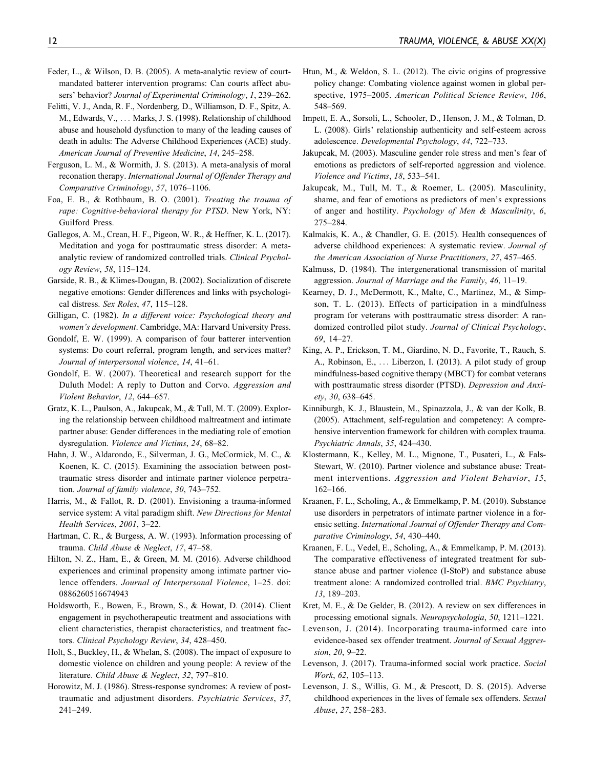Feder, L., & Wilson, D. B. (2005). A meta-analytic review of courtmandated batterer intervention programs: Can courts affect abusers' behavior? Journal of Experimental Criminology, 1, 239–262.

Felitti, V. J., Anda, R. F., Nordenberg, D., Williamson, D. F., Spitz, A. M., Edwards, V., ... Marks, J. S. (1998). Relationship of childhood abuse and household dysfunction to many of the leading causes of death in adults: The Adverse Childhood Experiences (ACE) study. American Journal of Preventive Medicine, 14, 245–258.

Ferguson, L. M., & Wormith, J. S. (2013). A meta-analysis of moral reconation therapy. International Journal of Offender Therapy and Comparative Criminology, 57, 1076–1106.

Foa, E. B., & Rothbaum, B. O. (2001). Treating the trauma of rape: Cognitive-behavioral therapy for PTSD. New York, NY: Guilford Press.

Gallegos, A. M., Crean, H. F., Pigeon, W. R., & Heffner, K. L. (2017). Meditation and yoga for posttraumatic stress disorder: A metaanalytic review of randomized controlled trials. Clinical Psychology Review, 58, 115–124.

Garside, R. B., & Klimes-Dougan, B. (2002). Socialization of discrete negative emotions: Gender differences and links with psychological distress. Sex Roles, 47, 115–128.

Gilligan, C. (1982). In a different voice: Psychological theory and women's development. Cambridge, MA: Harvard University Press.

Gondolf, E. W. (1999). A comparison of four batterer intervention systems: Do court referral, program length, and services matter? Journal of interpersonal violence, 14, 41–61.

Gondolf, E. W. (2007). Theoretical and research support for the Duluth Model: A reply to Dutton and Corvo. Aggression and Violent Behavior, 12, 644–657.

Gratz, K. L., Paulson, A., Jakupcak, M., & Tull, M. T. (2009). Exploring the relationship between childhood maltreatment and intimate partner abuse: Gender differences in the mediating role of emotion dysregulation. Violence and Victims, 24, 68–82.

Hahn, J. W., Aldarondo, E., Silverman, J. G., McCormick, M. C., & Koenen, K. C. (2015). Examining the association between posttraumatic stress disorder and intimate partner violence perpetration. Journal of family violence, 30, 743–752.

Harris, M., & Fallot, R. D. (2001). Envisioning a trauma-informed service system: A vital paradigm shift. New Directions for Mental Health Services, 2001, 3–22.

Hartman, C. R., & Burgess, A. W. (1993). Information processing of trauma. Child Abuse & Neglect, 17, 47–58.

Hilton, N. Z., Ham, E., & Green, M. M. (2016). Adverse childhood experiences and criminal propensity among intimate partner violence offenders. Journal of Interpersonal Violence, 1–25. doi: 0886260516674943

Holdsworth, E., Bowen, E., Brown, S., & Howat, D. (2014). Client engagement in psychotherapeutic treatment and associations with client characteristics, therapist characteristics, and treatment factors. Clinical Psychology Review, 34, 428–450.

Holt, S., Buckley, H., & Whelan, S. (2008). The impact of exposure to domestic violence on children and young people: A review of the literature. Child Abuse & Neglect, 32, 797–810.

Horowitz, M. J. (1986). Stress-response syndromes: A review of posttraumatic and adjustment disorders. Psychiatric Services, 37, 241–249.

Htun, M., & Weldon, S. L. (2012). The civic origins of progressive policy change: Combating violence against women in global perspective, 1975-2005. American Political Science Review, 106, 548–569.

Impett, E. A., Sorsoli, L., Schooler, D., Henson, J. M., & Tolman, D. L. (2008). Girls' relationship authenticity and self-esteem across adolescence. Developmental Psychology, 44, 722–733.

Jakupcak, M. (2003). Masculine gender role stress and men's fear of emotions as predictors of self-reported aggression and violence. Violence and Victims, 18, 533–541.

Jakupcak, M., Tull, M. T., & Roemer, L. (2005). Masculinity, shame, and fear of emotions as predictors of men's expressions of anger and hostility. Psychology of Men & Masculinity, 6, 275–284.

Kalmakis, K. A., & Chandler, G. E. (2015). Health consequences of adverse childhood experiences: A systematic review. Journal of the American Association of Nurse Practitioners, 27, 457–465.

Kalmuss, D. (1984). The intergenerational transmission of marital aggression. Journal of Marriage and the Family, 46, 11–19.

Kearney, D. J., McDermott, K., Malte, C., Martinez, M., & Simpson, T. L. (2013). Effects of participation in a mindfulness program for veterans with posttraumatic stress disorder: A randomized controlled pilot study. Journal of Clinical Psychology, 69, 14–27.

King, A. P., Erickson, T. M., Giardino, N. D., Favorite, T., Rauch, S. A., Robinson, E., ... Liberzon, I. (2013). A pilot study of group mindfulness-based cognitive therapy (MBCT) for combat veterans with posttraumatic stress disorder (PTSD). Depression and Anxiety, 30, 638–645.

Kinniburgh, K. J., Blaustein, M., Spinazzola, J., & van der Kolk, B. (2005). Attachment, self-regulation and competency: A comprehensive intervention framework for children with complex trauma. Psychiatric Annals, 35, 424–430.

Klostermann, K., Kelley, M. L., Mignone, T., Pusateri, L., & Fals-Stewart, W. (2010). Partner violence and substance abuse: Treatment interventions. Aggression and Violent Behavior, 15, 162–166.

Kraanen, F. L., Scholing, A., & Emmelkamp, P. M. (2010). Substance use disorders in perpetrators of intimate partner violence in a forensic setting. International Journal of Offender Therapy and Comparative Criminology, 54, 430–440.

Kraanen, F. L., Vedel, E., Scholing, A., & Emmelkamp, P. M. (2013). The comparative effectiveness of integrated treatment for substance abuse and partner violence (I-StoP) and substance abuse treatment alone: A randomized controlled trial. BMC Psychiatry, 13, 189–203.

Kret, M. E., & De Gelder, B. (2012). A review on sex differences in processing emotional signals. Neuropsychologia, 50, 1211–1221.

Levenson, J. (2014). Incorporating trauma-informed care into evidence-based sex offender treatment. Journal of Sexual Aggression, 20, 9–22.

Levenson, J. (2017). Trauma-informed social work practice. Social Work, 62, 105–113.

Levenson, J. S., Willis, G. M., & Prescott, D. S. (2015). Adverse childhood experiences in the lives of female sex offenders. Sexual Abuse, 27, 258–283.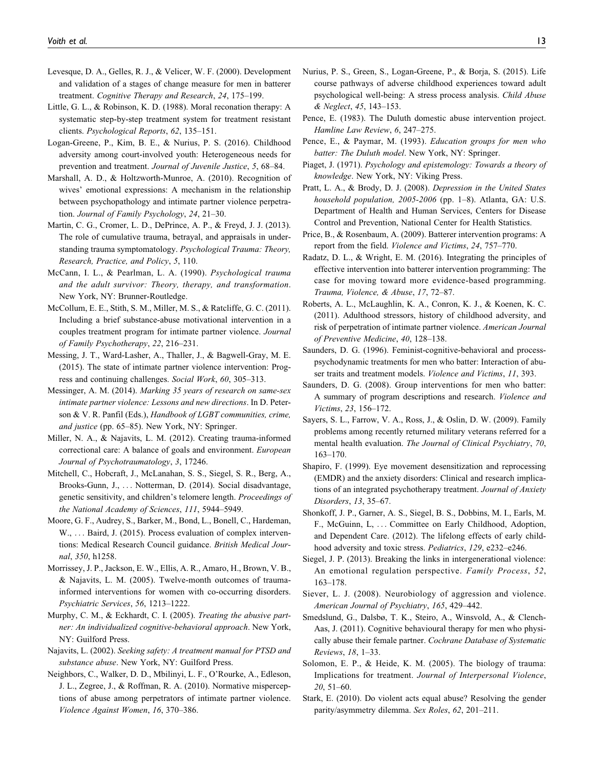- Levesque, D. A., Gelles, R. J., & Velicer, W. F. (2000). Development and validation of a stages of change measure for men in batterer treatment. Cognitive Therapy and Research, 24, 175–199.
- Little, G. L., & Robinson, K. D. (1988). Moral reconation therapy: A systematic step-by-step treatment system for treatment resistant clients. Psychological Reports, 62, 135–151.
- Logan-Greene, P., Kim, B. E., & Nurius, P. S. (2016). Childhood adversity among court-involved youth: Heterogeneous needs for prevention and treatment. Journal of Juvenile Justice, 5, 68–84.
- Marshall, A. D., & Holtzworth-Munroe, A. (2010). Recognition of wives' emotional expressions: A mechanism in the relationship between psychopathology and intimate partner violence perpetration. Journal of Family Psychology, 24, 21–30.
- Martin, C. G., Cromer, L. D., DePrince, A. P., & Freyd, J. J. (2013). The role of cumulative trauma, betrayal, and appraisals in understanding trauma symptomatology. Psychological Trauma: Theory, Research, Practice, and Policy, 5, 110.
- McCann, I. L., & Pearlman, L. A. (1990). Psychological trauma and the adult survivor: Theory, therapy, and transformation. New York, NY: Brunner-Routledge.
- McCollum, E. E., Stith, S. M., Miller, M. S., & Ratcliffe, G. C. (2011). Including a brief substance-abuse motivational intervention in a couples treatment program for intimate partner violence. Journal of Family Psychotherapy, 22, 216–231.
- Messing, J. T., Ward-Lasher, A., Thaller, J., & Bagwell-Gray, M. E. (2015). The state of intimate partner violence intervention: Progress and continuing challenges. Social Work, 60, 305–313.
- Messinger, A. M. (2014). Marking 35 years of research on same-sex intimate partner violence: Lessons and new directions. In D. Peterson & V. R. Panfil (Eds.), Handbook of LGBT communities, crime, and justice (pp. 65–85). New York, NY: Springer.
- Miller, N. A., & Najavits, L. M. (2012). Creating trauma-informed correctional care: A balance of goals and environment. European Journal of Psychotraumatology, 3, 17246.
- Mitchell, C., Hobcraft, J., McLanahan, S. S., Siegel, S. R., Berg, A., Brooks-Gunn, J., ... Notterman, D. (2014). Social disadvantage, genetic sensitivity, and children's telomere length. Proceedings of the National Academy of Sciences, 111, 5944–5949.
- Moore, G. F., Audrey, S., Barker, M., Bond, L., Bonell, C., Hardeman, W., ... Baird, J. (2015). Process evaluation of complex interventions: Medical Research Council guidance. British Medical Journal, 350, h1258.
- Morrissey, J. P., Jackson, E. W., Ellis, A. R., Amaro, H., Brown, V. B., & Najavits, L. M. (2005). Twelve-month outcomes of traumainformed interventions for women with co-occurring disorders. Psychiatric Services, 56, 1213–1222.
- Murphy, C. M., & Eckhardt, C. I. (2005). Treating the abusive partner: An individualized cognitive-behavioral approach. New York, NY: Guilford Press.
- Najavits, L. (2002). Seeking safety: A treatment manual for PTSD and substance abuse. New York, NY: Guilford Press.
- Neighbors, C., Walker, D. D., Mbilinyi, L. F., O'Rourke, A., Edleson, J. L., Zegree, J., & Roffman, R. A. (2010). Normative misperceptions of abuse among perpetrators of intimate partner violence. Violence Against Women, 16, 370–386.
- Nurius, P. S., Green, S., Logan-Greene, P., & Borja, S. (2015). Life course pathways of adverse childhood experiences toward adult psychological well-being: A stress process analysis. Child Abuse & Neglect, 45, 143–153.
- Pence, E. (1983). The Duluth domestic abuse intervention project. Hamline Law Review, 6, 247–275.
- Pence, E., & Paymar, M. (1993). Education groups for men who batter: The Duluth model. New York, NY: Springer.
- Piaget, J. (1971). Psychology and epistemology: Towards a theory of knowledge. New York, NY: Viking Press.
- Pratt, L. A., & Brody, D. J. (2008). Depression in the United States household population, 2005-2006 (pp. 1–8). Atlanta, GA: U.S. Department of Health and Human Services, Centers for Disease Control and Prevention, National Center for Health Statistics.
- Price, B., & Rosenbaum, A. (2009). Batterer intervention programs: A report from the field. Violence and Victims, 24, 757–770.
- Radatz, D. L., & Wright, E. M. (2016). Integrating the principles of effective intervention into batterer intervention programming: The case for moving toward more evidence-based programming. Trauma, Violence, & Abuse, 17, 72–87.
- Roberts, A. L., McLaughlin, K. A., Conron, K. J., & Koenen, K. C. (2011). Adulthood stressors, history of childhood adversity, and risk of perpetration of intimate partner violence. American Journal of Preventive Medicine, 40, 128–138.
- Saunders, D. G. (1996). Feminist-cognitive-behavioral and processpsychodynamic treatments for men who batter: Interaction of abuser traits and treatment models. Violence and Victims, 11, 393.
- Saunders, D. G. (2008). Group interventions for men who batter: A summary of program descriptions and research. Violence and Victims, 23, 156–172.
- Sayers, S. L., Farrow, V. A., Ross, J., & Oslin, D. W. (2009). Family problems among recently returned military veterans referred for a mental health evaluation. The Journal of Clinical Psychiatry, 70, 163–170.
- Shapiro, F. (1999). Eye movement desensitization and reprocessing (EMDR) and the anxiety disorders: Clinical and research implications of an integrated psychotherapy treatment. Journal of Anxiety Disorders, 13, 35–67.
- Shonkoff, J. P., Garner, A. S., Siegel, B. S., Dobbins, M. I., Earls, M. F., McGuinn, L, ... Committee on Early Childhood, Adoption, and Dependent Care. (2012). The lifelong effects of early childhood adversity and toxic stress. Pediatrics, 129, e232–e246.
- Siegel, J. P. (2013). Breaking the links in intergenerational violence: An emotional regulation perspective. Family Process, 52, 163–178.
- Siever, L. J. (2008). Neurobiology of aggression and violence. American Journal of Psychiatry, 165, 429–442.
- Smedslund, G., Dalsbø, T. K., Steiro, A., Winsvold, A., & Clench-Aas, J. (2011). Cognitive behavioural therapy for men who physically abuse their female partner. Cochrane Database of Systematic Reviews, 18, 1–33.
- Solomon, E. P., & Heide, K. M. (2005). The biology of trauma: Implications for treatment. Journal of Interpersonal Violence, 20, 51–60.
- Stark, E. (2010). Do violent acts equal abuse? Resolving the gender parity/asymmetry dilemma. Sex Roles, 62, 201–211.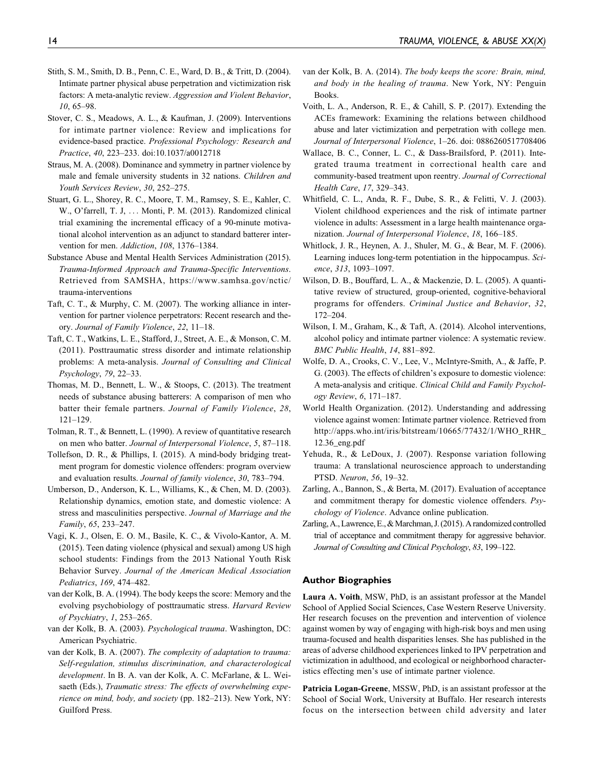- Stith, S. M., Smith, D. B., Penn, C. E., Ward, D. B., & Tritt, D. (2004). Intimate partner physical abuse perpetration and victimization risk factors: A meta-analytic review. Aggression and Violent Behavior, 10, 65–98.
- Stover, C. S., Meadows, A. L., & Kaufman, J. (2009). Interventions for intimate partner violence: Review and implications for evidence-based practice. Professional Psychology: Research and Practice, 40, 223–233. doi:10.1037/a0012718
- Straus, M. A. (2008). Dominance and symmetry in partner violence by male and female university students in 32 nations. Children and Youth Services Review, 30, 252–275.
- Stuart, G. L., Shorey, R. C., Moore, T. M., Ramsey, S. E., Kahler, C. W., O'farrell, T. J, ... Monti, P. M. (2013). Randomized clinical trial examining the incremental efficacy of a 90-minute motivational alcohol intervention as an adjunct to standard batterer intervention for men. Addiction, 108, 1376–1384.
- Substance Abuse and Mental Health Services Administration (2015). Trauma-Informed Approach and Trauma-Specific Interventions. Retrieved from SAMSHA, [https://www.samhsa.gov/nctic/](https://www.samhsa.gov/nctic/trauma-interventions) [trauma-interventions](https://www.samhsa.gov/nctic/trauma-interventions)
- Taft, C. T., & Murphy, C. M. (2007). The working alliance in intervention for partner violence perpetrators: Recent research and theory. Journal of Family Violence, 22, 11–18.
- Taft, C. T., Watkins, L. E., Stafford, J., Street, A. E., & Monson, C. M. (2011). Posttraumatic stress disorder and intimate relationship problems: A meta-analysis. Journal of Consulting and Clinical Psychology, 79, 22–33.
- Thomas, M. D., Bennett, L. W., & Stoops, C. (2013). The treatment needs of substance abusing batterers: A comparison of men who batter their female partners. Journal of Family Violence, 28, 121–129.
- Tolman, R. T., & Bennett, L. (1990). A review of quantitative research on men who batter. Journal of Interpersonal Violence, 5, 87–118.
- Tollefson, D. R., & Phillips, I. (2015). A mind-body bridging treatment program for domestic violence offenders: program overview and evaluation results. Journal of family violence, 30, 783–794.
- Umberson, D., Anderson, K. L., Williams, K., & Chen, M. D. (2003). Relationship dynamics, emotion state, and domestic violence: A stress and masculinities perspective. Journal of Marriage and the Family, 65, 233–247.
- Vagi, K. J., Olsen, E. O. M., Basile, K. C., & Vivolo-Kantor, A. M. (2015). Teen dating violence (physical and sexual) among US high school students: Findings from the 2013 National Youth Risk Behavior Survey. Journal of the American Medical Association Pediatrics, 169, 474–482.
- van der Kolk, B. A. (1994). The body keeps the score: Memory and the evolving psychobiology of posttraumatic stress. Harvard Review of Psychiatry, 1, 253–265.
- van der Kolk, B. A. (2003). Psychological trauma. Washington, DC: American Psychiatric.
- van der Kolk, B. A. (2007). The complexity of adaptation to trauma: Self-regulation, stimulus discrimination, and characterological development. In B. A. van der Kolk, A. C. McFarlane, & L. Weisaeth (Eds.), Traumatic stress: The effects of overwhelming experience on mind, body, and society (pp. 182–213). New York, NY: Guilford Press.
- van der Kolk, B. A. (2014). The body keeps the score: Brain, mind, and body in the healing of trauma. New York, NY: Penguin Books.
- Voith, L. A., Anderson, R. E., & Cahill, S. P. (2017). Extending the ACEs framework: Examining the relations between childhood abuse and later victimization and perpetration with college men. Journal of Interpersonal Violence, 1–26. doi: 0886260517708406
- Wallace, B. C., Conner, L. C., & Dass-Brailsford, P. (2011). Integrated trauma treatment in correctional health care and community-based treatment upon reentry. Journal of Correctional Health Care, 17, 329–343.
- Whitfield, C. L., Anda, R. F., Dube, S. R., & Felitti, V. J. (2003). Violent childhood experiences and the risk of intimate partner violence in adults: Assessment in a large health maintenance organization. Journal of Interpersonal Violence, 18, 166–185.
- Whitlock, J. R., Heynen, A. J., Shuler, M. G., & Bear, M. F. (2006). Learning induces long-term potentiation in the hippocampus. Science, 313, 1093–1097.
- Wilson, D. B., Bouffard, L. A., & Mackenzie, D. L. (2005). A quantitative review of structured, group-oriented, cognitive-behavioral programs for offenders. Criminal Justice and Behavior, 32, 172–204.
- Wilson, I. M., Graham, K., & Taft, A. (2014). Alcohol interventions, alcohol policy and intimate partner violence: A systematic review. BMC Public Health, 14, 881–892.
- Wolfe, D. A., Crooks, C. V., Lee, V., McIntyre-Smith, A., & Jaffe, P. G. (2003). The effects of children's exposure to domestic violence: A meta-analysis and critique. Clinical Child and Family Psychology Review, 6, 171–187.
- World Health Organization. (2012). Understanding and addressing violence against women: Intimate partner violence. Retrieved from [http://apps.who.int/iris/bitstream/10665/77432/1/WHO\\_RHR\\_](http://apps.who.int/iris/bitstream/10665/77432/1/WHO_RHR_12.36_eng.pdf) [12.36\\_eng.pdf](http://apps.who.int/iris/bitstream/10665/77432/1/WHO_RHR_12.36_eng.pdf)
- Yehuda, R., & LeDoux, J. (2007). Response variation following trauma: A translational neuroscience approach to understanding PTSD. Neuron, 56, 19–32.
- Zarling, A., Bannon, S., & Berta, M. (2017). Evaluation of acceptance and commitment therapy for domestic violence offenders. Psychology of Violence. Advance online publication.
- Zarling, A., Lawrence, E., & Marchman, J. (2015). A randomized controlled trial of acceptance and commitment therapy for aggressive behavior. Journal of Consulting and Clinical Psychology, 83, 199–122.

#### Author Biographies

Laura A. Voith, MSW, PhD, is an assistant professor at the Mandel School of Applied Social Sciences, Case Western Reserve University. Her research focuses on the prevention and intervention of violence against women by way of engaging with high-risk boys and men using trauma-focused and health disparities lenses. She has published in the areas of adverse childhood experiences linked to IPV perpetration and victimization in adulthood, and ecological or neighborhood characteristics effecting men's use of intimate partner violence.

Patricia Logan-Greene, MSSW, PhD, is an assistant professor at the School of Social Work, University at Buffalo. Her research interests focus on the intersection between child adversity and later